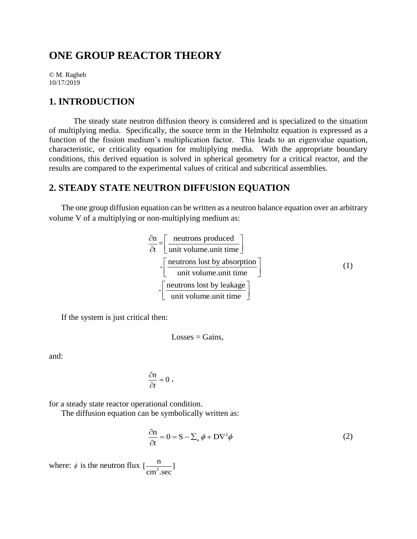# **ONE GROUP REACTOR THEORY**

© M. Ragheb 10/17/2019

### **1. INTRODUCTION**

The steady state neutron diffusion theory is considered and is specialized to the situation of multiplying media. Specifically, the source term in the Helmholtz equation is expressed as a function of the fission medium's multiplication factor. This leads to an eigenvalue equation, characteristic, or criticality equation for multiplying media. With the appropriate boundary conditions, this derived equation is solved in spherical geometry for a critical reactor, and the results are compared to the experimental values of critical and subcritical assemblies.

## **2. STEADY STATE NEUTRON DIFFUSION EQUATION**

The one group diffusion equation can be written as a neutron balance equation over an arbitrary volume V of a multiplying or non-multiplying medium as:

$$
\frac{\partial n}{\partial t} = \left[ \frac{\text{neutrons produced}}{\text{unit volume. unit time}} \right]
$$
  
-
$$
\left[ \frac{\text{neutrons lost by absorption}}{\text{unit volume. unit time}} \right]
$$
(1)  
-
$$
\left[ \frac{\text{neutrons lost by leakage}}{\text{unit volume. unit time}} \right]
$$

If the system is just critical then:

$$
Losses = Gains,
$$

and:

$$
\frac{\partial n}{\partial t}=0\ ,
$$

for a steady state reactor operational condition.

The diffusion equation can be symbolically written as:

$$
\frac{\partial \mathbf{n}}{\partial t} = 0 = \mathbf{S} - \sum_{a} \phi + \mathbf{D} \nabla^2 \phi \tag{2}
$$

where:  $\phi$  is the neutron flux  $\left[\frac{1}{cm^2}\right]$  $\left[\frac{n}{2}\right]$  $\text{cm}^2.\text{sec}$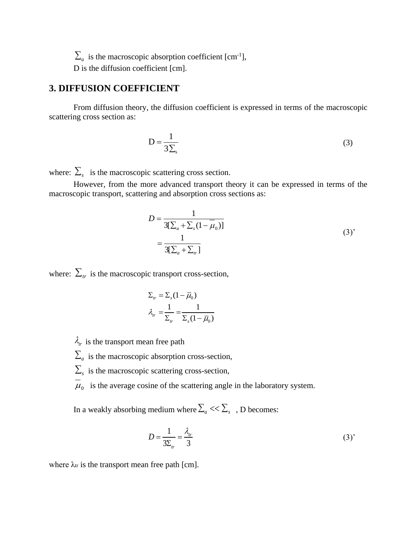$\sum_a$  is the macroscopic absorption coefficient [cm<sup>-1</sup>],

D is the diffusion coefficient [cm].

# **3. DIFFUSION COEFFICIENT**

From diffusion theory, the diffusion coefficient is expressed in terms of the macroscopic scattering cross section as:

$$
D = \frac{1}{3\Sigma_s} \tag{3}
$$

where:  $\sum_{s}$  is the macroscopic scattering cross section.

However, from the more advanced transport theory it can be expressed in terms of the macroscopic transport, scattering and absorption cross sections as:

$$
D = \frac{1}{3[\sum_a + \sum_s (1 - \overline{\mu}_0)]}
$$
  
= 
$$
\frac{1}{3[\sum_a + \sum_r]}
$$
 (3)

where:  $\Sigma_{tr}$  is the macroscopic transport cross-section,

$$
\Sigma_{tr} = \Sigma_{s} (1 - \overline{\mu}_{0})
$$

$$
\lambda_{tr} = \frac{1}{\Sigma_{tr}} = \frac{1}{\Sigma_{s} (1 - \overline{\mu}_{0})}
$$

- $\lambda_{tr}$  is the transport mean free path
- $\sum_a$  is the macroscopic absorption cross-section,
- $\sum_{s}$  is the macroscopic scattering cross-section,
- $\mu_0$  is the average cosine of the scattering angle in the laboratory system.

In a weakly absorbing medium where  $\sum_a <<\sum_s\;$  , D becomes:

$$
D = \frac{1}{3\Sigma_{tr}} = \frac{\lambda_{tr}}{3}
$$
 (3)

where  $\lambda_{tr}$  is the transport mean free path [cm].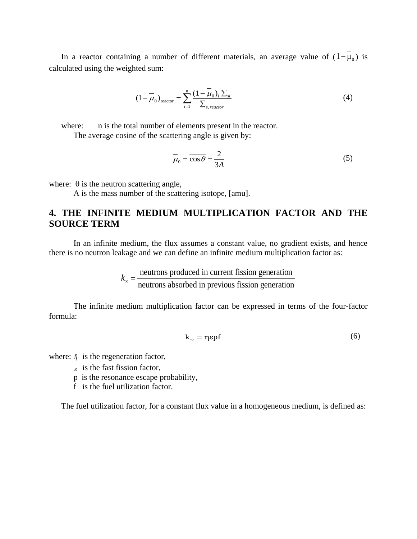In a reactor containing a number of different materials, an average value of  $(1 - \mu_0)$  is calculated using the weighted sum:

$$
(1 - \overline{\mu}_0)_{\text{reactor}} = \sum_{i=1}^n \frac{(1 - \overline{\mu}_0)_i \sum_{si}}{\sum_{s, \text{ reactor}}} \tag{4}
$$

where: n is the total number of elements present in the reactor. The average cosine of the scattering angle is given by:

$$
\overline{\mu}_0 = \overline{\cos \theta} = \frac{2}{3A} \tag{5}
$$

where:  $\theta$  is the neutron scattering angle,

A is the mass number of the scattering isotope, [amu].

# **4. THE INFINITE MEDIUM MULTIPLICATION FACTOR AND THE SOURCE TERM**

In an infinite medium, the flux assumes a constant value, no gradient exists, and hence there is no neutron leakage and we can define an infinite medium multiplication factor as:

$$
k_{\infty} = \frac{\text{neutrons produced in current fission generation}}{\text{neutrons absorbed in previous fission generation}}
$$

The infinite medium multiplication factor can be expressed in terms of the four-factor formula:

$$
k_{\infty} = \eta \epsilon p f \tag{6}
$$

where:  $\eta$  is the regeneration factor,

- $\epsilon$  is the fast fission factor,
- p is the resonance escape probability,
- f is the fuel utilization factor.

The fuel utilization factor, for a constant flux value in a homogeneous medium, is defined as: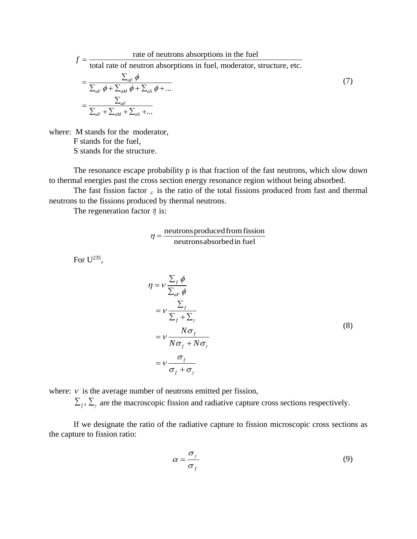$$
f = \frac{\text{rate of neutrons absorptions in the fuel}}{\text{total rate of neutron absorptions in fuel, moderate, structure, etc.}}
$$
  
= 
$$
\frac{\sum_{aF} \phi}{\sum_{aF} \phi + \sum_{aM} \phi + \sum_{aS} \phi + ...}
$$
  
= 
$$
\frac{\sum_{aF}}{\sum_{aF} + \sum_{aM} + \sum_{aS} + ...}
$$
 (7)

where: M stands for the moderator, F stands for the fuel, S stands for the structure.

The resonance escape probability p is that fraction of the fast neutrons, which slow down to thermal energies past the cross section energy resonance region without being absorbed.

The fast fission factor  $\epsilon$  is the ratio of the total fissions produced from fast and thermal neutrons to the fissions produced by thermal neutrons.

The regeneration factor  $\eta$  is:

$$
\eta = \frac{\text{neutrons produced from fission}}{\text{neutrons absorbed in fuel}}
$$

For  $U^{235}$ ,

$$
\eta = v \frac{\sum_{f} \phi}{\sum_{aF} \phi}
$$
\n
$$
= v \frac{\sum_{f}}{\sum_{f} + \sum_{\gamma}}
$$
\n
$$
= v \frac{N\sigma_{f}}{N\sigma_{f} + N\sigma_{\gamma}}
$$
\n
$$
= v \frac{\sigma_{f}}{\sigma_{f} + \sigma_{\gamma}}
$$
\n(8)

where:  $\nu$  is the average number of neutrons emitted per fission,

 $\sum_f$ ,  $\sum_\gamma$  are the macroscopic fission and radiative capture cross sections respectively.

If we designate the ratio of the radiative capture to fission microscopic cross sections as the capture to fission ratio:

$$
\alpha = \frac{\sigma_{\gamma}}{\sigma_{f}} \tag{9}
$$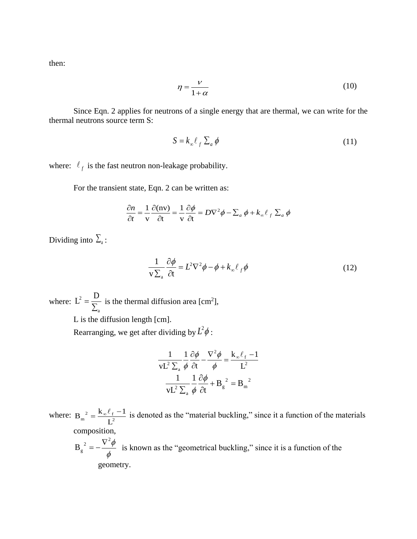then:

$$
\eta = \frac{V}{1+\alpha} \tag{10}
$$

Since Eqn. 2 applies for neutrons of a single energy that are thermal, we can write for the thermal neutrons source term S:

$$
S = k_{\infty} \ell_{f} \sum_{a} \phi \tag{11}
$$

where:  $\ell_f$  is the fast neutron non-leakage probability.

For the transient state, Eqn. 2 can be written as:

$$
\frac{\partial n}{\partial t} = \frac{1}{v} \frac{\partial (nv)}{\partial t} = \frac{1}{v} \frac{\partial \phi}{\partial t} = D\nabla^2 \phi - \sum_a \phi + k_\infty \ell_f \sum_a \phi
$$

Dividing into  $\sum_{a}$ :

$$
\frac{1}{v\sum_{a}\frac{\partial\phi}{\partial t}} = L^2 \nabla^2 \phi - \phi + k_{\infty} \ell_{f} \phi
$$
\n(12)

where: a  $L^2 = \frac{D}{D}$ Σ  $=\frac{D}{\Sigma}$  is the thermal diffusion area [cm<sup>2</sup>],

L is the diffusion length [cm].

Rearranging, we get after dividing by  $L^2\phi$ :

$$
\frac{1}{vL^2 \sum_{a} \phi} \frac{1}{\phi} \frac{\partial \phi}{\partial t} - \frac{\nabla^2 \phi}{\phi} = \frac{k_{\infty} \ell_f - 1}{L^2}
$$

$$
\frac{1}{vL^2 \sum_{a} \phi} \frac{1}{\phi} \frac{\partial \phi}{\partial t} + B_g^{2} = B_m^{2}
$$

where:  $B_m^2 = \frac{K_{\infty} \ell_f}{I^2}$  $\frac{2}{m} = \frac{K_{\infty} \ell_f}{L^2}$  $B_m^2 = \frac{k_\infty \ell_f - 1}{r^2}$  is denoted as the "material buckling," since it a function of the materials composition,

 $\phi$  $B_{\rm g}^{2} = -\frac{\nabla^2 \phi}{4}$  $=-\frac{\nabla^2 \phi}{i}$  is known as the "geometrical buckling," since it is a function of the geometry.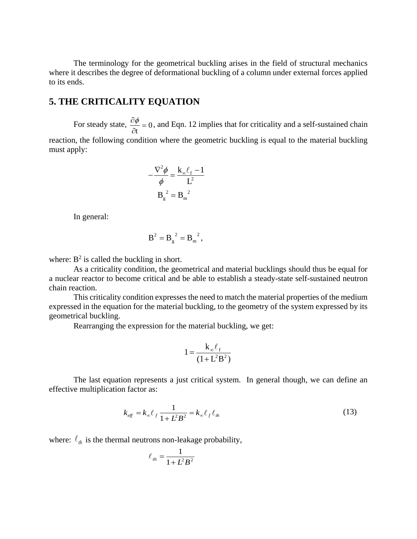The terminology for the geometrical buckling arises in the field of structural mechanics where it describes the degree of deformational buckling of a column under external forces applied to its ends.

## **5. THE CRITICALITY EQUATION**

For steady state,  $\frac{\partial \varphi}{\partial z} = 0$ t  $=$  $\partial$  $\frac{\partial \phi}{\partial t} = 0$ , and Eqn. 12 implies that for criticality and a self-sustained chain reaction, the following condition where the geometric buckling is equal to the material buckling must apply:

$$
-\frac{\nabla^2 \phi}{\phi} = \frac{k_{\infty} \ell_f - 1}{L^2}
$$

$$
B_g^2 = B_m^2
$$

In general:

$$
B^2 = B_g^2 = B_m^2,
$$

where:  $B^2$  is called the buckling in short.

As a criticality condition, the geometrical and material bucklings should thus be equal for a nuclear reactor to become critical and be able to establish a steady-state self-sustained neutron chain reaction.

This criticality condition expresses the need to match the material properties of the medium expressed in the equation for the material buckling, to the geometry of the system expressed by its geometrical buckling.

Rearranging the expression for the material buckling, we get:

$$
1 = \frac{k_{\infty} \ell_{\rm f}}{(1 + L^2 B^2)}
$$

The last equation represents a just critical system. In general though, we can define an effective multiplication factor as:

$$
k_{\text{eff}} = k_{\infty} \ell_f \frac{1}{1 + L^2 B^2} = k_{\infty} \ell_f \ell_{th}
$$
 (13)

where:  $\ell_{th}$  is the thermal neutrons non-leakage probability,

$$
\ell_{th} = \frac{1}{1 + L^2 B^2}
$$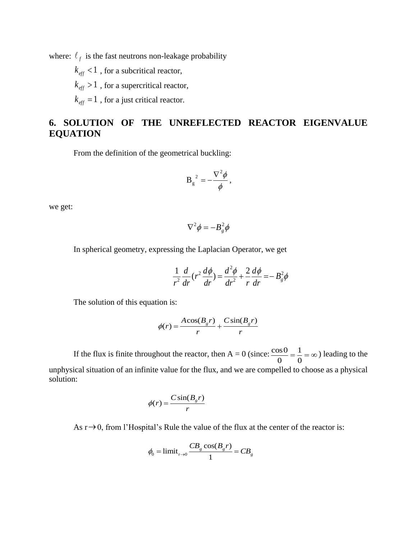where:  $\ell_f$  is the fast neutrons non-leakage probability

 $k_{\text{eff}}$  < 1 , for a subcritical reactor,

 $k_{\text{eff}} > 1$ , for a supercritical reactor,

 $k_{\text{eff}} = 1$ , for a just critical reactor.

# **6. SOLUTION OF THE UNREFLECTED REACTOR EIGENVALUE EQUATION**

From the definition of the geometrical buckling:

$$
B_g^2 = -\frac{\nabla^2 \phi}{\phi},
$$

we get:

$$
\nabla^2 \phi = -B_g^2 \phi
$$

In spherical geometry, expressing the Laplacian Operator, we get

$$
\frac{1}{r^2}\frac{d}{dr}(r^2\frac{d\phi}{dr}) = \frac{d^2\phi}{dr^2} + \frac{2}{r}\frac{d\phi}{dr} = -B_g^2\phi
$$

The solution of this equation is:

$$
\phi(r) = \frac{A\cos(B_g r)}{r} + \frac{C\sin(B_g r)}{r}
$$

If the flux is finite throughout the reactor, then A = 0 (since:  $\frac{\cos 0}{\cos 0} = \frac{1}{2}$  $0 \quad 0$  $=\frac{1}{2} = \infty$ ) leading to the unphysical situation of an infinite value for the flux, and we are compelled to choose as a physical solution:

$$
\phi(r) = \frac{C \sin(B_g r)}{r}
$$

As  $r \rightarrow 0$ , from l'Hospital's Rule the value of the flux at the center of the reactor is:

$$
\phi_0 = \text{limit}_{r \to 0} \frac{CB_g \cos(B_g r)}{1} = CB_g
$$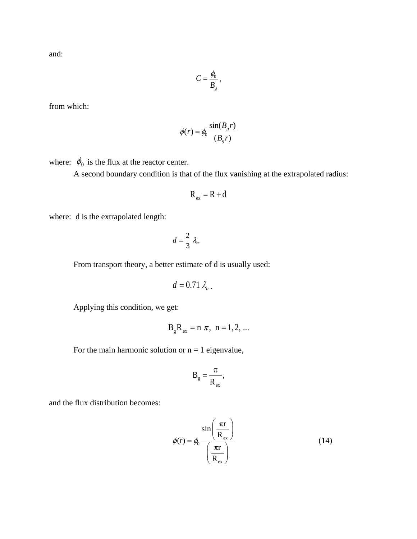and:

$$
C=\frac{\phi_0}{B_g},
$$

from which:

$$
\phi(r) = \phi_0 \frac{\sin(B_g r)}{(B_g r)}
$$

where:  $\phi_0$  is the flux at the reactor center.

A second boundary condition is that of the flux vanishing at the extrapolated radius:

$$
R_{ex} = R + d
$$

where: d is the extrapolated length:

$$
d=\frac{2}{3}\lambda_{tr}
$$

From transport theory, a better estimate of d is usually used:

$$
d=0.71\,\lambda_{tr}.
$$

Applying this condition, we get:

$$
B_{g}R_{ex} = n \pi, n = 1, 2, ...
$$

For the main harmonic solution or  $n = 1$  eigenvalue,

$$
B_{g}=\frac{\pi}{R_{ex}},
$$

and the flux distribution becomes:

$$
\phi(r) = \phi_0 \frac{\sin\left(\frac{\pi r}{R_{\text{ex}}}\right)}{\left(\frac{\pi r}{R_{\text{ex}}}\right)}
$$
(14)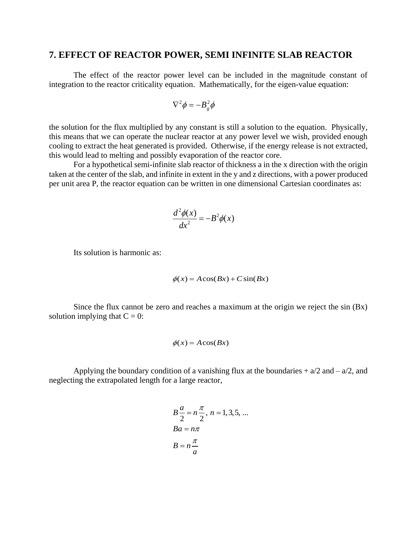### **7. EFFECT OF REACTOR POWER, SEMI INFINITE SLAB REACTOR**

The effect of the reactor power level can be included in the magnitude constant of integration to the reactor criticality equation. Mathematically, for the eigen-value equation:

$$
\nabla^2 \phi = -B_g^2 \phi
$$

the solution for the flux multiplied by any constant is still a solution to the equation. Physically, this means that we can operate the nuclear reactor at any power level we wish, provided enough cooling to extract the heat generated is provided. Otherwise, if the energy release is not extracted, this would lead to melting and possibly evaporation of the reactor core.

For a hypothetical semi-infinite slab reactor of thickness a in the x direction with the origin taken at the center of the slab, and infinite in extent in the y and z directions, with a power produced per unit area P, the reactor equation can be written in one dimensional Cartesian coordinates as:

$$
\frac{d^2\phi(x)}{dx^2} = -B^2\phi(x)
$$

Its solution is harmonic as:

$$
\phi(x) = A\cos(Bx) + C\sin(Bx)
$$

Since the flux cannot be zero and reaches a maximum at the origin we reject the  $\sin(Bx)$ solution implying that  $C = 0$ :

$$
\phi(x) = A\cos(Bx)
$$

Applying the boundary condition of a vanishing flux at the boundaries  $+ a/2$  and  $- a/2$ , and neglecting the extrapolated length for a large reactor,

$$
B\frac{a}{2} = n\frac{\pi}{2}, n = 1, 3, 5, ...
$$
  
Ba = n\pi  

$$
B = n\frac{\pi}{a}
$$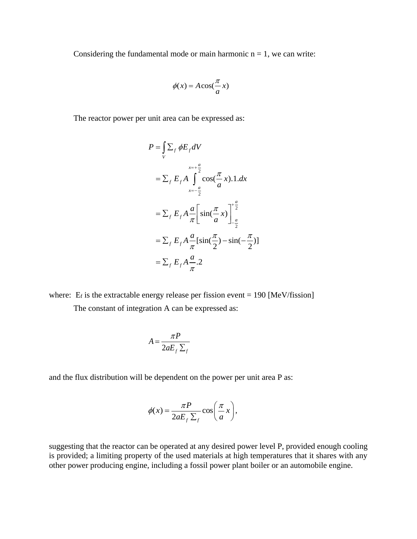Considering the fundamental mode or main harmonic  $n = 1$ , we can write:

$$
\phi(x) = A\cos(\frac{\pi}{a}x)
$$

The reactor power per unit area can be expressed as:

$$
P = \int_{V} \sum_{f} \phi E_{f} dV
$$
  
\n
$$
= \sum_{f} E_{f} A \int_{-\frac{a}{2}}^{\frac{x-\frac{a}{2}}{2}} \cos(\frac{\pi}{a} x).1. dx
$$
  
\n
$$
= \sum_{f} E_{f} A \frac{a}{\pi} \left[ \sin(\frac{\pi}{a} x) \right]_{-\frac{a}{2}}^{\frac{a}{2}}
$$
  
\n
$$
= \sum_{f} E_{f} A \frac{a}{\pi} [\sin(\frac{\pi}{2}) - \sin(-\frac{\pi}{2})]
$$
  
\n
$$
= \sum_{f} E_{f} A \frac{a}{\pi}.2
$$

where:  $E_f$  is the extractable energy release per fission event = 190 [MeV/fission] The constant of integration A can be expressed as:

$$
A = \frac{\pi P}{2aE_f \sum_f}
$$

and the flux distribution will be dependent on the power per unit area P as:

$$
\phi(x) = \frac{\pi P}{2aE_f \sum_f} \cos\left(\frac{\pi}{a}x\right),\,
$$

suggesting that the reactor can be operated at any desired power level P, provided enough cooling is provided; a limiting property of the used materials at high temperatures that it shares with any other power producing engine, including a fossil power plant boiler or an automobile engine.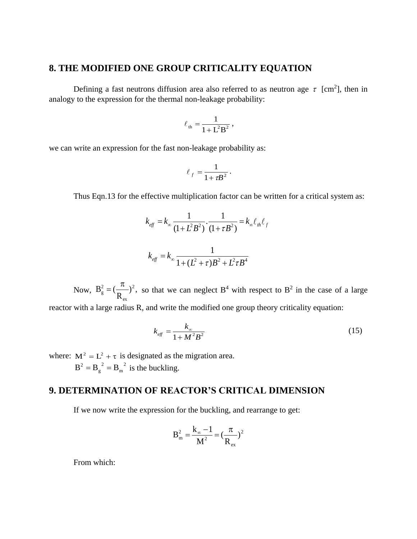# **8. THE MODIFIED ONE GROUP CRITICALITY EQUATION**

Defining a fast neutrons diffusion area also referred to as neutron age  $\tau$  [cm<sup>2</sup>], then in analogy to the expression for the thermal non-leakage probability:

$$
\ell_{\rm th} = \frac{1}{1 + L^2 B^2} \,,
$$

we can write an expression for the fast non-leakage probability as:

$$
\ell_f = \frac{1}{1 + \tau B^2}.
$$

Thus Eqn.13 for the effective multiplication factor can be written for a critical system as:

$$
k_{\text{eff}} = k_{\infty} \frac{1}{(1 + L^2 B^2)} \cdot \frac{1}{(1 + \tau B^2)} = k_{\infty} \ell_{\text{th}} \ell_{\text{f}}
$$

$$
k_{\text{eff}} = k_{\infty} \frac{1}{1 + (L^2 + \tau) B^2 + L^2 \tau B^4}
$$

Now,  $B_g^2 = \left(\frac{\kappa}{R}\right)^2$ , R  $B_{\circ}^{2} = (\frac{\mu}{\sigma})^{2}$ ex 2 g  $=(\frac{\pi}{2})^2$ , so that we can neglect B<sup>4</sup> with respect to B<sup>2</sup> in the case of a large

reactor with a large radius R, and write the modified one group theory criticality equation:

$$
k_{\text{eff}} = \frac{k_{\infty}}{1 + M^2 B^2} \tag{15}
$$

where:  $M^2 = L^2 + \tau$  is designated as the migration area. 2 m 2  $B^2 = B_g^2 = B_m^2$  is the buckling.

# **9. DETERMINATION OF REACTOR'S CRITICAL DIMENSION**

If we now write the expression for the buckling, and rearrange to get:

$$
B_{m}^{2} = \frac{k_{\infty} - 1}{M^{2}} = \left(\frac{\pi}{R_{ex}}\right)^{2}
$$

From which: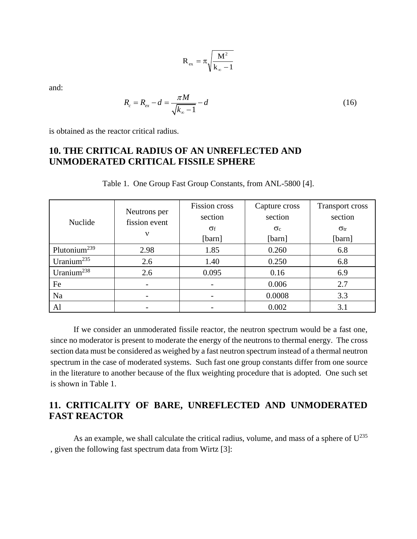$$
R_{\text{ex}} = \pi \sqrt{\frac{M^2}{k_{\infty} - 1}}
$$

and:

$$
R_c = R_{ex} - d = \frac{\pi M}{\sqrt{k_{\infty} - 1}} - d
$$
 (16)

is obtained as the reactor critical radius.

# **10. THE CRITICAL RADIUS OF AN UNREFLECTED AND UNMODERATED CRITICAL FISSILE SPHERE**

| Nuclide                  | Neutrons per<br>fission event<br>$\mathbf{v}$ | <b>Fission</b> cross<br>section<br>$\sigma_{\rm f}$<br>[barn] | Capture cross<br>section<br>$\sigma_c$<br>[barn] | <b>Transport cross</b><br>section<br>$\sigma_{\rm tr}$<br>[barn] |
|--------------------------|-----------------------------------------------|---------------------------------------------------------------|--------------------------------------------------|------------------------------------------------------------------|
| Plutonium <sup>239</sup> | 2.98                                          | 1.85                                                          | 0.260                                            | 6.8                                                              |
| Uranium <sup>235</sup>   | 2.6                                           | 1.40                                                          | 0.250                                            | 6.8                                                              |
| Uranium <sup>238</sup>   | 2.6                                           | 0.095                                                         | 0.16                                             | 6.9                                                              |
| Fe                       |                                               |                                                               | 0.006                                            | 2.7                                                              |
| Na                       |                                               |                                                               | 0.0008                                           | 3.3                                                              |
| Al                       |                                               |                                                               | 0.002                                            | 3.1                                                              |

Table 1. One Group Fast Group Constants, from ANL-5800 [4].

If we consider an unmoderated fissile reactor, the neutron spectrum would be a fast one, since no moderator is present to moderate the energy of the neutrons to thermal energy. The cross section data must be considered as weighed by a fast neutron spectrum instead of a thermal neutron spectrum in the case of moderated systems. Such fast one group constants differ from one source in the literature to another because of the flux weighting procedure that is adopted. One such set is shown in Table 1.

# **11. CRITICALITY OF BARE, UNREFLECTED AND UNMODERATED FAST REACTOR**

As an example, we shall calculate the critical radius, volume, and mass of a sphere of  $U^{235}$ , given the following fast spectrum data from Wirtz [3]: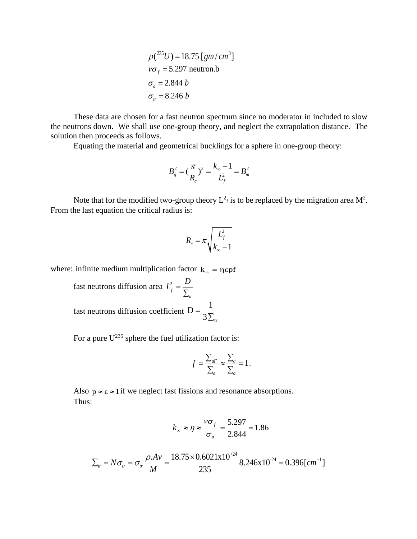$$
\rho(^{235}U) = 18.75 [gm/cm3]
$$
  

$$
v\sigma_f = 5.297 \text{ neutron.b}
$$
  

$$
\sigma_a = 2.844 b
$$
  

$$
\sigma_w = 8.246 b
$$

These data are chosen for a fast neutron spectrum since no moderator in included to slow the neutrons down. We shall use one-group theory, and neglect the extrapolation distance. The solution then proceeds as follows.

Equating the material and geometrical bucklings for a sphere in one-group theory:

$$
B_g^2 = (\frac{\pi}{R_c})^2 = \frac{k_{\infty} - 1}{L_f^2} = B_m^2
$$

Note that for the modified two-group theory  $L^2_f$  is to be replaced by the migration area  $M^2$ . From the last equation the critical radius is:

$$
R_c = \pi \sqrt{\frac{L_f^2}{k_\infty - 1}}
$$

where: infinite medium multiplication factor  $k_{\infty} = \eta \epsilon p f$ 

fast neutrons diffusion area  $L^2$ *f a*  $L_f^2 = \frac{D}{\Sigma}$ Σ fast neutrons diffusion coefficient 3 $\Sigma_{\rm tr}$  $D = \frac{1}{\sqrt{2}}$ Σ  $=$ 

For a pure  $U^{235}$  sphere the fuel utilization factor is:

$$
f = \frac{\sum_{aF}}{\sum_{a}} \approx \frac{\sum_{a}}{\sum_{a}} = 1.
$$

Also  $p \approx \epsilon \approx 1$  if we neglect fast fissions and resonance absorptions. Thus:

$$
k_{\infty} \approx \eta \approx \frac{V\sigma_f}{\sigma_a} = \frac{5.297}{2.844} = 1.86
$$

$$
\kappa_{\infty} \approx \eta \approx \frac{\sigma_a}{\sigma_a} = \frac{1.80}{2.844} = 1.80
$$
  

$$
\Sigma_{tr} = N\sigma_r = \sigma_r \frac{\rho A v}{M} = \frac{18.75 \times 0.6021 \times 10^{24}}{235} = 8.246 \times 10^{-24} = 0.396 \, [\text{cm}^{-1}]
$$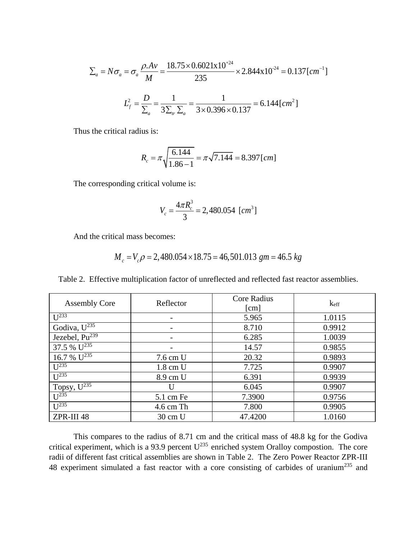$$
\Sigma_a = N\sigma_a = \sigma_a \frac{\rho.Av}{M} = \frac{18.75 \times 0.6021 \times 10^{24}}{235} \times 2.844 \times 10^{-24} = 0.137 \, [cm^{-1}]
$$

$$
L_f^2 = \frac{D}{\Sigma_a} = \frac{1}{3\Sigma_{tr}\Sigma_a} = \frac{1}{3 \times 0.396 \times 0.137} = 6.144 \, [cm^2]
$$

Thus the critical radius is:

$$
R_c = \pi \sqrt{\frac{6.144}{1.86 - 1}} = \pi \sqrt{7.144} = 8.397 \, [cm]
$$

The corresponding critical volume is:

$$
V_c = \frac{4\pi R_c^3}{3} = 2,480.054 \text{ [cm}^3\text{]}
$$

And the critical mass becomes:

ical mass becomes:  
\n
$$
M_c = V_c \rho = 2,480.054 \times 18.75 = 46,501.013 \text{ gm} = 46.5 \text{ kg}
$$

Table 2. Effective multiplication factor of unreflected and reflected fast reactor assemblies.

| <b>Assembly Core</b>                         | Reflector          | <b>Core Radius</b><br>$\lceil$ cm $\rceil$ | keff   |
|----------------------------------------------|--------------------|--------------------------------------------|--------|
| $U^{2\overline{33}}$                         |                    | 5.965                                      | 1.0115 |
| Godiva, $U^{\overline{235}}$                 |                    | 8.710                                      | 0.9912 |
| Jezebel, $P\overline{u^{239}}$               |                    | 6.285                                      | 1.0039 |
| 37.5 % $U^{235}$                             |                    | 14.57                                      | 0.9855 |
| 16.7 % $U^{235}$                             | 7.6 cm U           | 20.32                                      | 0.9893 |
| $U^{235}$                                    | $1.8 \text{ cm}$ U | 7.725                                      | 0.9907 |
| $\overline{U}^{235}$                         | 8.9 cm U           | 6.391                                      | 0.9939 |
| Topsy, $U^{\overline{235}}$                  | U                  | 6.045                                      | 0.9907 |
| $\overline{1}$ $\overline{1}$ <sup>235</sup> | 5.1 cm Fe          | 7.3900                                     | 0.9756 |
| I <sup>235</sup>                             | $4.6$ cm Th        | 7.800                                      | 0.9905 |
| ZPR-III 48                                   | 30 cm U            | 47.4200                                    | 1.0160 |

This compares to the radius of 8.71 cm and the critical mass of 48.8 kg for the Godiva critical experiment, which is a 93.9 percent  $U^{235}$  enriched system Oralloy compostion. The core radii of different fast critical assemblies are shown in Table 2. The Zero Power Reactor ZPR-III 48 experiment simulated a fast reactor with a core consisting of carbides of uranium<sup>235</sup> and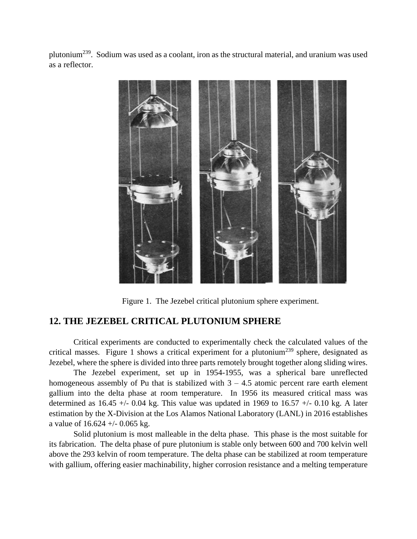plutonium<sup>239</sup>. Sodium was used as a coolant, iron as the structural material, and uranium was used as a reflector.



Figure 1. The Jezebel critical plutonium sphere experiment.

### **12. THE JEZEBEL CRITICAL PLUTONIUM SPHERE**

Critical experiments are conducted to experimentally check the calculated values of the critical masses. Figure 1 shows a critical experiment for a plutonium<sup>239</sup> sphere, designated as Jezebel, where the sphere is divided into three parts remotely brought together along sliding wires.

The Jezebel experiment, set up in 1954-1955, was a spherical bare unreflected homogeneous assembly of Pu that is stabilized with  $3 - 4.5$  atomic percent rare earth element gallium into the delta phase at room temperature. In 1956 its measured critical mass was determined as  $16.45 +/- 0.04$  kg. This value was updated in 1969 to  $16.57 +/- 0.10$  kg. A later estimation by the X-Division at the Los Alamos National Laboratory (LANL) in 2016 establishes a value of  $16.624 + (-0.065 \text{ kg})$ .

Solid plutonium is most malleable in the delta phase. This phase is the most suitable for its fabrication. The delta phase of pure plutonium is stable only between 600 and 700 kelvin well above the 293 kelvin of room temperature. The delta phase can be stabilized at room temperature with gallium, offering easier machinability, higher corrosion resistance and a melting temperature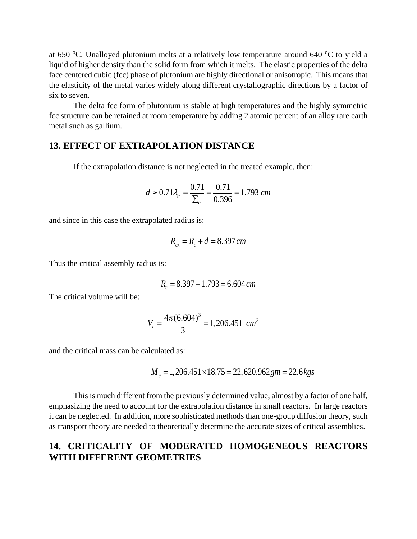at 650  $^{\circ}$ C. Unalloyed plutonium melts at a relatively low temperature around 640  $^{\circ}$ C to yield a liquid of higher density than the solid form from which it melts. The elastic properties of the delta face centered cubic (fcc) phase of plutonium are highly directional or anisotropic. This means that the elasticity of the metal varies widely along different crystallographic directions by a factor of six to seven.

The delta fcc form of plutonium is stable at high temperatures and the highly symmetric fcc structure can be retained at room temperature by adding 2 atomic percent of an alloy rare earth metal such as gallium.

#### **13. EFFECT OF EXTRAPOLATION DISTANCE**

If the extrapolation distance is not neglected in the treated example, then:

$$
d \approx 0.71 \lambda_{tr} = \frac{0.71}{\Sigma_{tr}} = \frac{0.71}{0.396} = 1.793 \text{ cm}
$$

and since in this case the extrapolated radius is:

$$
R_{ex} = R_c + d = 8.397 \, \text{cm}
$$

Thus the critical assembly radius is:

$$
R_c = 8.397 - 1.793 = 6.604 \, \text{cm}
$$

The critical volume will be:

$$
V_c = \frac{4\pi (6.604)^3}{3} = 1,206.451 \text{ cm}^3
$$

and the critical mass can be calculated as:

$$
M_c = 1,206.451 \times 18.75 = 22,620.962 \, gm = 22.6 \, kgs
$$

This is much different from the previously determined value, almost by a factor of one half, emphasizing the need to account for the extrapolation distance in small reactors. In large reactors it can be neglected. In addition, more sophisticated methods than one-group diffusion theory, such as transport theory are needed to theoretically determine the accurate sizes of critical assemblies.

## **14. CRITICALITY OF MODERATED HOMOGENEOUS REACTORS WITH DIFFERENT GEOMETRIES**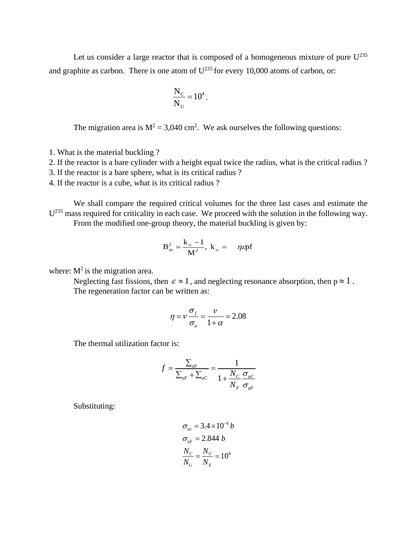Let us consider a large reactor that is composed of a homogeneous mixture of pure  $U^{235}$ and graphite as carbon. There is one atom of  $U^{235}$  for every 10,000 atoms of carbon, or:

$$
\frac{N_C}{N_U} = 10^4.
$$

The migration area is  $M^2 = 3,040$  cm<sup>2</sup>. We ask ourselves the following questions:

1. What is the material buckling ?

2. If the reactor is a bare cylinder with a height equal twice the radius, what is the critical radius ?

3. If the reactor is a bare sphere, what is its critical radius ?

4. If the reactor is a cube, what is its critical radius ?

We shall compare the required critical volumes for the three last cases and estimate the  $U^{235}$  mass required for criticality in each case. We proceed with the solution in the following way. From the modified one-group theory, the material buckling is given by:

$$
B_{m}^{2}=\frac{k_{\infty}-1}{M^{2}},\ k_{\infty}=-\eta \epsilon p f
$$

where:  $M^2$  is the migration area.

Neglecting fast fissions, then  $\varepsilon \approx 1$ , and neglecting resonance absorption, then  $p \approx 1$ . The regeneration factor can be written as:

$$
\eta = v \frac{\sigma_f}{\sigma_a} = \frac{v}{1 + \alpha} = 2.08
$$

The thermal utilization factor is:

$$
f = \frac{\sum_{aF}}{\sum_{aF} + \sum_{aC}} = \frac{1}{1 + \frac{N_C}{N_F} \frac{\sigma_{aC}}{\sigma_{aF}}}
$$

Substituting:

$$
\sigma_{ac} = 3.4 \times 10^{-6} b
$$

$$
\sigma_{aF} = 2.844 b
$$

$$
\frac{N_C}{N_U} = \frac{N_C}{N_F} = 10^4
$$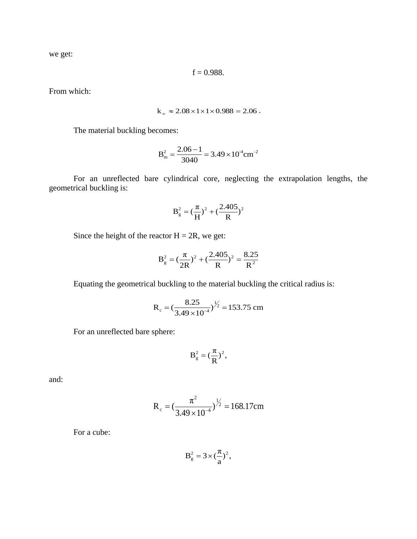we get:

$$
f = 0.988
$$
.

From which:

$$
k_{\infty} \approx 2.08 \times 1 \times 1 \times 0.988 = 2.06
$$
.

The material buckling becomes:

$$
B_{\rm m}^2 = \frac{2.06 - 1}{3040} = 3.49 \times 10^4 \text{cm}^{-2}
$$

For an unreflected bare cylindrical core, neglecting the extrapolation lengths, the geometrical buckling is:

$$
B_g^2 = (\frac{\pi}{H})^2 + (\frac{2.405}{R})^2
$$

Since the height of the reactor  $H = 2R$ , we get:

$$
B_g^2 = (\frac{\pi}{2R})^2 + (\frac{2.405}{R})^2 = \frac{8.25}{R^2}
$$

Equating the geometrical buckling to the material buckling the critical radius is:

$$
R_c = \left(\frac{8.25}{3.49 \times 10^{-4}}\right)^{1/2} = 153.75
$$
 cm

For an unreflected bare sphere:

$$
B_g^2 = (\frac{\pi}{R})^2,
$$

and:

$$
R_c = (\frac{\pi^2}{3.49 \times 10^{-4}})^{\frac{1}{2}} = 168.17 \text{cm}
$$

For a cube:

$$
B_g^2 = 3 \times (\frac{\pi}{a})^2,
$$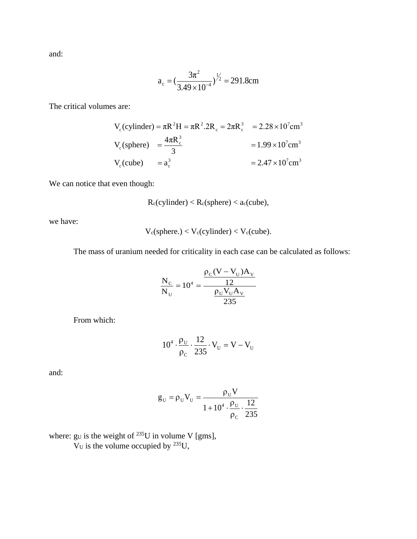and:

$$
a_c = \left(\frac{3\pi^2}{3.49 \times 10^{-4}}\right)^{1/2} = 291.8 \text{cm}
$$

The critical volumes are:

s are:  
\n
$$
V_c(cylinder) = \pi R^2 H = \pi R^2.2R_c = 2\pi R_c^3 = 2.28 \times 10^7 cm^3
$$
\n
$$
V_c(sphere) = \frac{4\pi R_c^3}{3} = 1.99 \times 10^7 cm^3
$$
\n
$$
= 2.47 \times 10^7 cm^3
$$

We can notice that even though:

$$
R_c(cylinder) < R_c(sphere) < a_c(cube),
$$

we have:

$$
V_c(sphere.) < V_c(cylinder) < V_c(cube). \label{eq:1}
$$

The mass of uranium needed for criticality in each case can be calculated as follows:

$$
\frac{N_{C}}{N_{U}} = 10^{4} = \frac{\frac{\rho_{C}(V - V_{U})A_{V}}{12}}{\frac{\rho_{U}V_{U}A_{V}}{235}}
$$

From which:

$$
10^4 \cdot \frac{\rho_U}{\rho_C} \cdot \frac{12}{235} \cdot V_U = V - V_U
$$

and:

$$
g_{\mathrm{U}} = \rho_{\mathrm{U}} V_{\mathrm{U}} = \frac{\rho_{\mathrm{U}} V}{1 + 10^4 \cdot \frac{\rho_{\mathrm{U}}}{\rho_{\mathrm{C}}} \cdot \frac{12}{235}}
$$

where: gu is the weight of  $^{235}$ U in volume V [gms],

 $V_{\text{U}}$  is the volume occupied by <sup>235</sup>U,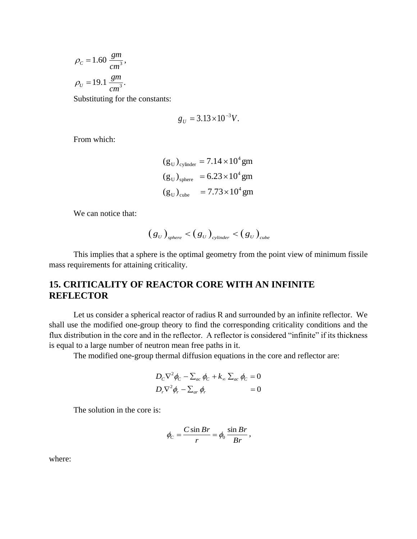$$
\rho_c = 1.60 \frac{gm}{cm^3},
$$
  
\n
$$
\rho_U = 19.1 \frac{gm}{cm^3}.
$$

Substituting for the constants:

$$
g_U = 3.13 \times 10^{-3} V.
$$

From which:

$$
(g_U)_{cylinder} = 7.14 \times 10^4 \text{ gm}
$$
  
\n $(g_U)_{sphere} = 6.23 \times 10^4 \text{ gm}$   
\n $(g_U)_{cube} = 7.73 \times 10^4 \text{ gm}$ 

We can notice that:

$$
(g_U)_{sphere} < (g_U)_{cylinder} < (g_U)_{cube}
$$

This implies that a sphere is the optimal geometry from the point view of minimum fissile mass requirements for attaining criticality.

# **15. CRITICALITY OF REACTOR CORE WITH AN INFINITE REFLECTOR**

Let us consider a spherical reactor of radius R and surrounded by an infinite reflector. We shall use the modified one-group theory to find the corresponding criticality conditions and the flux distribution in the core and in the reflector. A reflector is considered "infinite" if its thickness is equal to a large number of neutron mean free paths in it.

The modified one-group thermal diffusion equations in the core and reflector are:

$$
D_C \nabla^2 \phi_C - \sum_{ac} \phi_C + k_{\infty} \sum_{ac} \phi_C = 0
$$
  

$$
D_r \nabla^2 \phi_r - \sum_{ar} \phi_r = 0
$$

The solution in the core is:

$$
\phi_C = \frac{C \sin Br}{r} = \phi_0 \frac{\sin Br}{Br},
$$

where: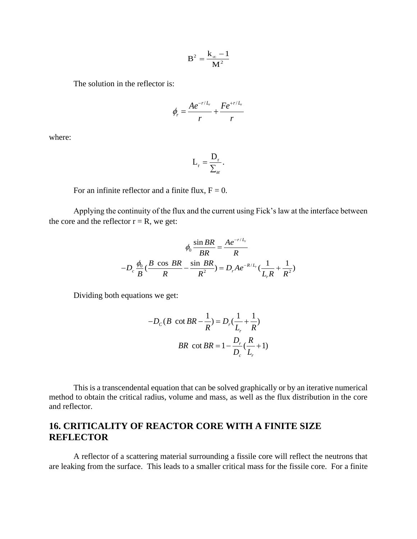$$
B^2 = \frac{k_\infty - 1}{M^2}
$$

The solution in the reflector is:

$$
\phi_r = \frac{A e^{-r/L_r}}{r} + \frac{F e^{+r/L_r}}{r}
$$

where:

$$
L_{\rm r} = \frac{D_{\rm r}}{\sum_{\rm ar}}.
$$

For an infinite reflector and a finite flux,  $F = 0$ .

Applying the continuity of the flux and the current using Fick's law at the interface between the core and the reflector  $r = R$ , we get:

$$
\phi_0 \frac{\sin BR}{BR} = \frac{A e^{-r/L_r}}{R}
$$

$$
-D_c \frac{\phi_0}{B} (\frac{B \cos BR}{R} - \frac{\sin BR}{R^2}) = D_r A e^{-R/L_r} (\frac{1}{L_r R} + \frac{1}{R^2})
$$

Dividing both equations we get:

$$
-D_C(B \cot BR - \frac{1}{R}) = D_r(\frac{1}{L_r} + \frac{1}{R})
$$
  
BR \cot BR =  $1 - \frac{D_r}{D_c}(\frac{R}{L_r} + 1)$ 

This is a transcendental equation that can be solved graphically or by an iterative numerical method to obtain the critical radius, volume and mass, as well as the flux distribution in the core and reflector.

# **16. CRITICALITY OF REACTOR CORE WITH A FINITE SIZE REFLECTOR**

A reflector of a scattering material surrounding a fissile core will reflect the neutrons that are leaking from the surface. This leads to a smaller critical mass for the fissile core. For a finite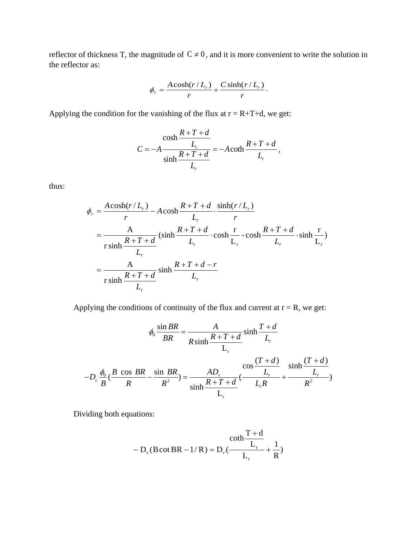reflector of thickness T, the magnitude of  $C \neq 0$ , and it is more convenient to write the solution in the reflector as:

$$
\phi_r = \frac{A\cosh(r/L_r)}{r} + \frac{C\sinh(r/L_r)}{r}.
$$

Applying the condition for the vanishing of the flux at  $r = R+T+d$ , we get:

$$
C = -A \frac{R + T + d}{L_r}
$$
  

$$
C = -A \frac{L_r}{\sinh \frac{R + T + d}{L_r}} = -A \coth \frac{R + T + d}{L_r},
$$

thus:

$$
\phi_r = \frac{A \cosh(r/L_r)}{r} - A \cosh \frac{R + T + d}{L_r} \cdot \frac{\sinh(r/L_r)}{r}
$$
  
\n
$$
= \frac{A}{r \sinh \frac{R + T + d}{L_r}} (\sinh \frac{R + T + d}{L_r} \cdot \cosh \frac{r}{L_r} - \cosh \frac{R + T + d}{L_r} \cdot \sinh \frac{r}{L_r})
$$
  
\n
$$
= \frac{A}{r \sinh \frac{R + T + d}{L_r}} \sinh \frac{R + T + d - r}{L_r}
$$

Applying the conditions of continuity of the flux and current at  $r = R$ , we get:

Solving the conditions of continuity of the flux and current at r = R, we get:  
\n
$$
\phi_0 \frac{\sin BR}{BR} = \frac{A}{R \sinh \frac{R+T+d}{L_r}} \sinh \frac{T+d}{L_r}
$$
\n
$$
-D_c \frac{\phi_0}{B} (\frac{B \cos BR}{R} - \frac{\sin BR}{R^2}) = \frac{AD_r}{\sinh \frac{R+T+d}{L_r}} (\frac{\cos \frac{(T+d)}{L_r}}{L_r R} + \frac{\sinh \frac{(T+d)}{L_r}}{R^2})
$$

Dividing both equations:

$$
-D_c (B \cot BR - 1/R) = D_r(\frac{C \cot h \frac{T+d}{L_r}}{L_r} + \frac{1}{R})
$$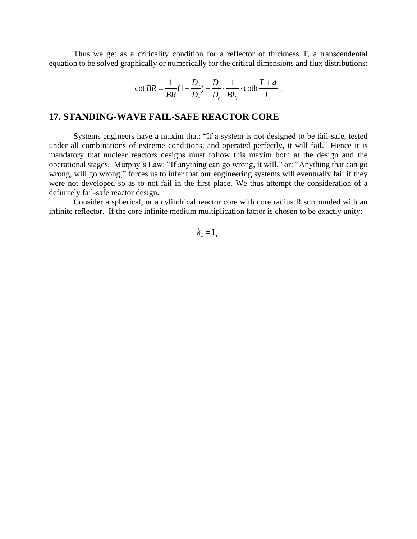Thus we get as a criticality condition for a reflector of thickness T, a transcendental equation to be solved graphically or numerically for the critical dimensions and flux distributions:

$$
\cot BR = \frac{1}{BR} (1 - \frac{D_r}{D_c}) - \frac{D_r}{D_c} \cdot \frac{1}{BL_r} \cdot \coth \frac{T + d}{L_r}.
$$

### **17. STANDING-WAVE FAIL-SAFE REACTOR CORE**

Systems engineers have a maxim that: "If a system is not designed to be fail-safe, tested under all combinations of extreme conditions, and operated perfectly, it will fail." Hence it is mandatory that nuclear reactors designs must follow this maxim both at the design and the operational stages. Murphy's Law: "If anything can go wrong, it will," or: "Anything that can go wrong, will go wrong," forces us to infer that our engineering systems will eventually fail if they were not developed so as to not fail in the first place. We thus attempt the consideration of a definitely fail-safe reactor design.

Consider a spherical, or a cylindrical reactor core with core radius R surrounded with an infinite reflector. If the core infinite medium multiplication factor is chosen to be exactly unity:

 $k_{\infty} = 1$ ,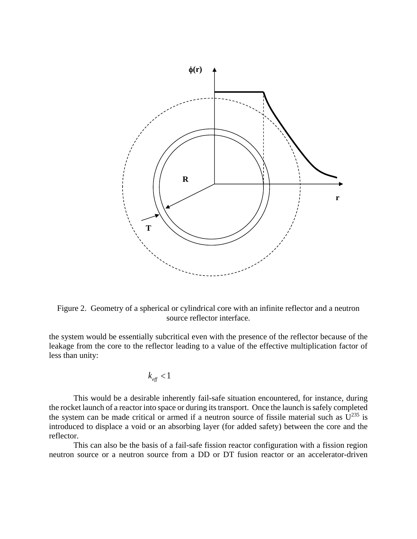

Figure 2. Geometry of a spherical or cylindrical core with an infinite reflector and a neutron source reflector interface.

the system would be essentially subcritical even with the presence of the reflector because of the leakage from the core to the reflector leading to a value of the effective multiplication factor of less than unity:

$$
k_{\text{eff}} < 1
$$

This would be a desirable inherently fail-safe situation encountered, for instance, during the rocket launch of a reactor into space or during its transport. Once the launch is safely completed the system can be made critical or armed if a neutron source of fissile material such as  $U^{235}$  is introduced to displace a void or an absorbing layer (for added safety) between the core and the reflector.

This can also be the basis of a fail-safe fission reactor configuration with a fission region neutron source or a neutron source from a DD or DT fusion reactor or an accelerator-driven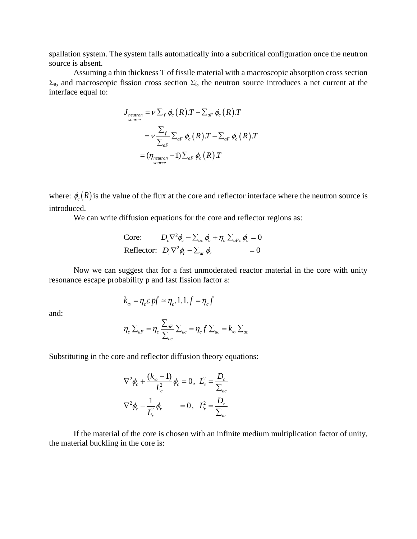spallation system. The system falls automatically into a subcritical configuration once the neutron source is absent.

Assuming a thin thickness T of fissile material with a macroscopic absorption cross section  $\Sigma_a$ , and macroscopic fission cross section  $\Sigma_f$ , the neutron source introduces a net current at the interface equal to:

$$
J_{\substack{neutron \\ source}} = V \sum_{f} \phi_{c}(R) . T - \sum_{aF} \phi_{c}(R) . T
$$
  
= 
$$
V \frac{\sum_{f}}{\sum_{aF}} \sum_{aF} \phi_{c}(R) . T - \sum_{aF} \phi_{c}(R) . T
$$
  
= 
$$
(\eta_{\substack{neutron}} - 1) \sum_{aF} \phi_{c}(R) . T
$$

where:  $\phi_c(R)$  is the value of the flux at the core and reflector interface where the neutron source is introduced.

We can write diffusion equations for the core and reflector regions as:

$$
\begin{aligned}\n\text{Core:} \qquad & D_c \nabla^2 \phi_c - \sum_{ac} \phi_c + \eta_c \sum_{aFc} \phi_c = 0 \\
\text{Reflector:} \quad & D_r \nabla^2 \phi_r - \sum_{ar} \phi_r = 0\n\end{aligned}
$$

Now we can suggest that for a fast unmoderated reactor material in the core with unity resonance escape probability p and fast fission factor ε:

$$
k_{\infty} = \eta_c \varepsilon p f \simeq \eta_c \cdot 1.1.f = \eta_c f
$$

and:

$$
\eta_c \sum_{aF} = \eta_c \frac{\sum_{aF}}{\sum_{ac}} \sum_{ac} = \eta_c f \sum_{ac} = k_{\infty} \sum_{ac}
$$

Substituting in the core and reflector diffusion theory equations:

$$
\nabla^2 \phi_c + \frac{(k_{\infty} - 1)}{L_c^2} \phi_c = 0, \ L_c^2 = \frac{D_c}{\sum_{ac}}
$$
  

$$
\nabla^2 \phi_r - \frac{1}{L_r^2} \phi_r = 0, \ L_r^2 = \frac{D_r}{\sum_{ac}}
$$

If the material of the core is chosen with an infinite medium multiplication factor of unity, the material buckling in the core is: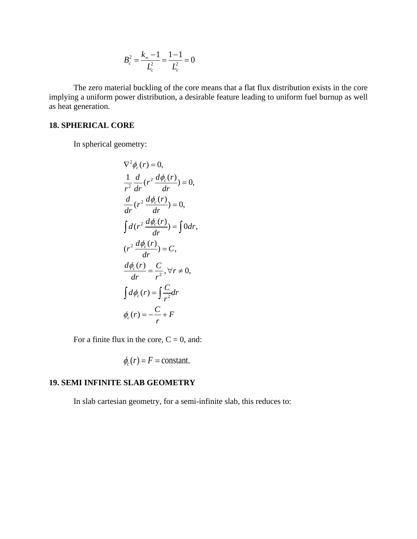$$
B_c^2 = \frac{k_\infty - 1}{L_c^2} = \frac{1 - 1}{L_c^2} = 0
$$

The zero material buckling of the core means that a flat flux distribution exists in the core implying a uniform power distribution, a desirable feature leading to uniform fuel burnup as well as heat generation.

#### **18. SPHERICAL CORE**

In spherical geometry:

$$
\nabla^2 \phi_c(r) = 0,
$$
  
\n
$$
\frac{1}{r^2} \frac{d}{dr} (r^2 \frac{d\phi_c(r)}{dr}) = 0,
$$
  
\n
$$
\frac{d}{dr} (r^2 \frac{d\phi_c(r)}{dr}) = 0,
$$
  
\n
$$
\int d(r^2 \frac{d\phi_c(r)}{dr}) = \int 0 dr,
$$
  
\n
$$
(r^2 \frac{d\phi_c(r)}{dr}) = C,
$$
  
\n
$$
\frac{d\phi_c(r)}{dr} = \frac{C}{r^2}, \forall r \neq 0,
$$
  
\n
$$
\int d\phi_c(r) = \int \frac{C}{r^2} dr
$$
  
\n
$$
\phi_c(r) = -\frac{C}{r} + F
$$

For a finite flux in the core,  $C = 0$ , and:

$$
\phi_c(r) = F = \text{constant}.
$$

### **19. SEMI INFINITE SLAB GEOMETRY**

In slab cartesian geometry, for a semi-infinite slab, this reduces to: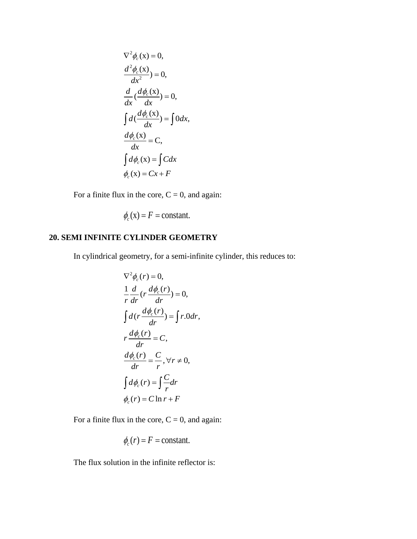$$
\nabla^2 \phi_c(\mathbf{x}) = 0,
$$
  
\n
$$
\frac{d^2 \phi_c(\mathbf{x})}{dx^2} = 0,
$$
  
\n
$$
\frac{d}{dx}(\frac{d\phi_c(\mathbf{x})}{dx}) = 0,
$$
  
\n
$$
\int d(\frac{d\phi_c(\mathbf{x})}{dx}) = \int 0 dx,
$$
  
\n
$$
\frac{d\phi_c(\mathbf{x})}{dx} = \mathbf{C},
$$
  
\n
$$
\int d\phi_c(\mathbf{x}) = \int C dx
$$
  
\n
$$
\phi_c(\mathbf{x}) = Cx + F
$$

For a finite flux in the core,  $C = 0$ , and again:

$$
\phi_c(\mathbf{x}) = F = \text{constant}.
$$

## **20. SEMI INFINITE CYLINDER GEOMETRY**

In cylindrical geometry, for a semi-infinite cylinder, this reduces to:

$$
\nabla^2 \phi_c(r) = 0,
$$
  
\n
$$
\frac{1}{r} \frac{d}{dr} \left(r \frac{d\phi_c(r)}{dr}\right) = 0,
$$
  
\n
$$
\int d\left(r \frac{d\phi_c(r)}{dr}\right) = \int r \cdot 0 dr,
$$
  
\n
$$
r \frac{d\phi_c(r)}{dr} = C,
$$
  
\n
$$
\frac{d\phi_c(r)}{dr} = \frac{C}{r}, \forall r \neq 0,
$$
  
\n
$$
\int d\phi_c(r) = \int \frac{C}{r} dr
$$
  
\n
$$
\phi_c(r) = C \ln r + F
$$

For a finite flux in the core,  $C = 0$ , and again:

$$
\phi_c(r) = F = \text{constant}.
$$

The flux solution in the infinite reflector is: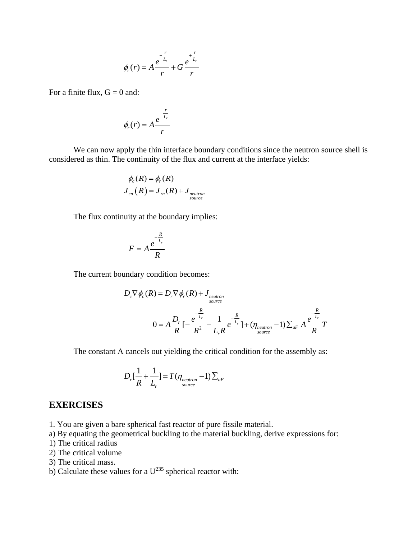$$
\phi_r(r) = A \frac{e^{-\frac{r}{L_r}}}{r} + G \frac{e^{\frac{r}{L_r}}}{r}
$$

For a finite flux,  $G = 0$  and:

$$
\phi_r(r) = A \frac{e^{-\frac{r}{L_r}}}{r}
$$

We can now apply the thin interface boundary conditions since the neutron source shell is considered as thin. The continuity of the flux and current at the interface yields:

$$
\phi_c(R) = \phi_r(R)
$$
  

$$
J_{cn}(R) = J_m(R) + J_{neutron}
$$
  
source

The flux continuity at the boundary implies:

$$
F = A \frac{e^{-\frac{R}{L_r}}}{R}
$$

The current boundary condition becomes:  
\n
$$
D_c \nabla \phi_c(R) = D_r \nabla \phi_r(R) + J_{neutron}
$$
\n
$$
0 = A \frac{D_r}{R} \left[ -\frac{e^{-\frac{R}{L_r}}}{R^2} - \frac{1}{L_r R} e^{-\frac{R}{L_r}} \right] + (\eta_{neutron} - 1) \sum_{aF} A \frac{e^{-\frac{R}{L_r}}}{R} T
$$

The constant A cancels out yielding the critical condition for the assembly as:

$$
D_{r}[\frac{1}{R} + \frac{1}{L_{r}}] = T(\eta_{\text{neutron}} - 1) \sum_{aF}
$$

#### **EXERCISES**

- 1. You are given a bare spherical fast reactor of pure fissile material.
- a) By equating the geometrical buckling to the material buckling, derive expressions for:
- 1) The critical radius
- 2) The critical volume
- 3) The critical mass.
- b) Calculate these values for a  $U^{235}$  spherical reactor with: